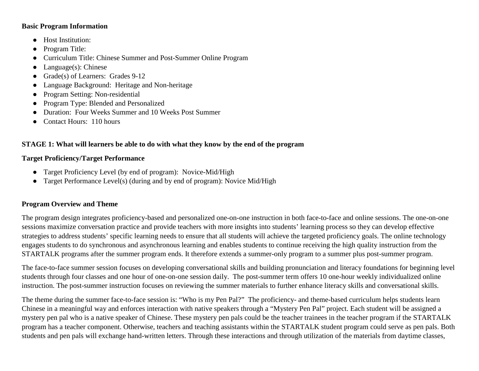#### **Basic Program Information**

- Host Institution:
- Program Title:
- Curriculum Title: Chinese Summer and Post-Summer Online Program
- $\bullet$  Language(s): Chinese
- Grade(s) of Learners: Grades 9-12
- Language Background: Heritage and Non-heritage
- Program Setting: Non-residential
- Program Type: Blended and Personalized
- Duration: Four Weeks Summer and 10 Weeks Post Summer
- Contact Hours: 110 hours

## **STAGE 1: What will learners be able to do with what they know by the end of the program**

### **Target Proficiency/Target Performance**

- Target Proficiency Level (by end of program): Novice-Mid/High
- Target Performance Level(s) (during and by end of program): Novice Mid/High

### **Program Overview and Theme**

The program design integrates proficiency-based and personalized one-on-one instruction in both face-to-face and online sessions. The one-on-one sessions maximize conversation practice and provide teachers with more insights into students' learning process so they can develop effective strategies to address students' specific learning needs to ensure that all students will achieve the targeted proficiency goals. The online technology engages students to do synchronous and asynchronous learning and enables students to continue receiving the high quality instruction from the STARTALK programs after the summer program ends. It therefore extends a summer-only program to a summer plus post-summer program.

The face-to-face summer session focuses on developing conversational skills and building pronunciation and literacy foundations for beginning level students through four classes and one hour of one-on-one session daily. The post-summer term offers 10 one-hour weekly individualized online instruction. The post-summer instruction focuses on reviewing the summer materials to further enhance literacy skills and conversational skills.

The theme during the summer face-to-face session is: "Who is my Pen Pal?" The proficiency- and theme-based curriculum helps students learn Chinese in a meaningful way and enforces interaction with native speakers through a "Mystery Pen Pal" project. Each student will be assigned a mystery pen pal who is a native speaker of Chinese. These mystery pen pals could be the teacher trainees in the teacher program if the STARTALK program has a teacher component. Otherwise, teachers and teaching assistants within the STARTALK student program could serve as pen pals. Both students and pen pals will exchange hand-written letters. Through these interactions and through utilization of the materials from daytime classes,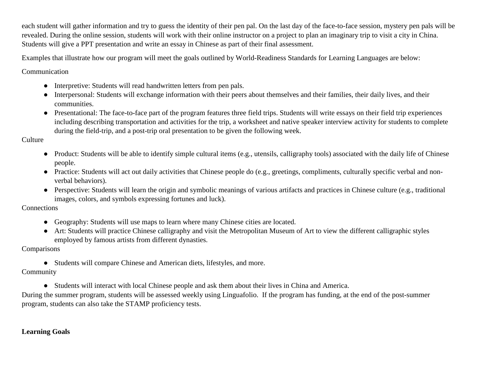each student will gather information and try to guess the identity of their pen pal. On the last day of the face-to-face session, mystery pen pals will be revealed. During the online session, students will work with their online instructor on a project to plan an imaginary trip to visit a city in China. Students will give a PPT presentation and write an essay in Chinese as part of their final assessment.

Examples that illustrate how our program will meet the goals outlined by World-Readiness Standards for Learning Languages are below:

Communication

- Interpretive: Students will read handwritten letters from pen pals.
- Interpersonal: Students will exchange information with their peers about themselves and their families, their daily lives, and their communities.
- Presentational: The face-to-face part of the program features three field trips. Students will write essays on their field trip experiences including describing transportation and activities for the trip, a worksheet and native speaker interview activity for students to complete during the field-trip, and a post-trip oral presentation to be given the following week.

**Culture** 

- Product: Students will be able to identify simple cultural items (e.g., utensils, calligraphy tools) associated with the daily life of Chinese people.
- Practice: Students will act out daily activities that Chinese people do (e.g., greetings, compliments, culturally specific verbal and nonverbal behaviors).
- Perspective: Students will learn the origin and symbolic meanings of various artifacts and practices in Chinese culture (e.g., traditional images, colors, and symbols expressing fortunes and luck).

**Connections** 

- Geography: Students will use maps to learn where many Chinese cities are located.
- Art: Students will practice Chinese calligraphy and visit the Metropolitan Museum of Art to view the different calligraphic styles employed by famous artists from different dynasties.

Comparisons

● Students will compare Chinese and American diets, lifestyles, and more.

Community

● Students will interact with local Chinese people and ask them about their lives in China and America.

During the summer program, students will be assessed weekly using Linguafolio. If the program has funding, at the end of the post-summer program, students can also take the STAMP proficiency tests.

# **Learning Goals**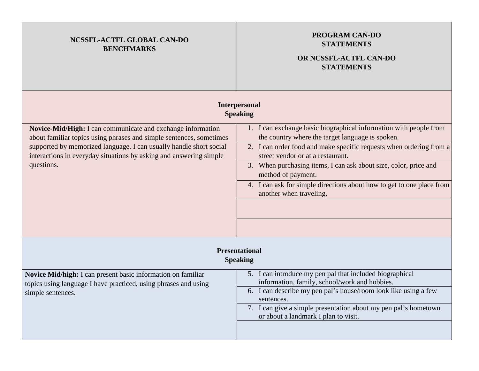| NCSSFL-ACTFL GLOBAL CAN-DO<br><b>BENCHMARKS</b>                                                                                                                                                                                                                                              | <b>PROGRAM CAN-DO</b><br><b>STATEMENTS</b><br>OR NCSSFL-ACTFL CAN-DO<br><b>STATEMENTS</b>                                                                                                                                                                                                                                                                                                                                       |  |
|----------------------------------------------------------------------------------------------------------------------------------------------------------------------------------------------------------------------------------------------------------------------------------------------|---------------------------------------------------------------------------------------------------------------------------------------------------------------------------------------------------------------------------------------------------------------------------------------------------------------------------------------------------------------------------------------------------------------------------------|--|
|                                                                                                                                                                                                                                                                                              | <b>Interpersonal</b><br><b>Speaking</b>                                                                                                                                                                                                                                                                                                                                                                                         |  |
| Novice-Mid/High: I can communicate and exchange information<br>about familiar topics using phrases and simple sentences, sometimes<br>supported by memorized language. I can usually handle short social<br>interactions in everyday situations by asking and answering simple<br>questions. | 1. I can exchange basic biographical information with people from<br>the country where the target language is spoken.<br>2. I can order food and make specific requests when ordering from a<br>street vendor or at a restaurant.<br>3. When purchasing items, I can ask about size, color, price and<br>method of payment.<br>4. I can ask for simple directions about how to get to one place from<br>another when traveling. |  |
| <b>Presentational</b><br><b>Speaking</b>                                                                                                                                                                                                                                                     |                                                                                                                                                                                                                                                                                                                                                                                                                                 |  |
| Novice Mid/high: I can present basic information on familiar<br>topics using language I have practiced, using phrases and using<br>simple sentences.                                                                                                                                         | 5. I can introduce my pen pal that included biographical<br>information, family, school/work and hobbies.<br>6. I can describe my pen pal's house/room look like using a few<br>sentences.<br>7. I can give a simple presentation about my pen pal's hometown<br>or about a landmark I plan to visit.                                                                                                                           |  |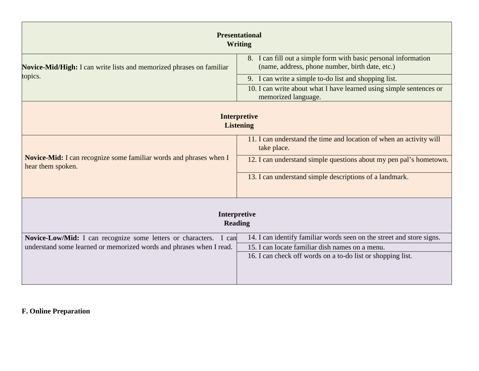| <b>Presentational</b><br><b>Writing</b>                                                                                                                                                                                                                                                                                                                   |                                                                                                                                                                                         |  |  |
|-----------------------------------------------------------------------------------------------------------------------------------------------------------------------------------------------------------------------------------------------------------------------------------------------------------------------------------------------------------|-----------------------------------------------------------------------------------------------------------------------------------------------------------------------------------------|--|--|
| <b>Novice-Mid/High:</b> I can write lists and memorized phrases on familiar<br>topics.                                                                                                                                                                                                                                                                    | 8. I can fill out a simple form with basic personal information<br>(name, address, phone number, birth date, etc.)<br>9. I can write a simple to-do list and shopping list.             |  |  |
|                                                                                                                                                                                                                                                                                                                                                           | 10. I can write about what I have learned using simple sentences or<br>memorized language.                                                                                              |  |  |
| <b>Interpretive</b><br><b>Listening</b><br>11. I can understand the time and location of when an activity will<br>take place.<br>Novice-Mid: I can recognize some familiar words and phrases when I<br>12. I can understand simple questions about my pen pal's hometown.<br>hear them spoken.<br>13. I can understand simple descriptions of a landmark. |                                                                                                                                                                                         |  |  |
| Interpretive<br><b>Reading</b>                                                                                                                                                                                                                                                                                                                            |                                                                                                                                                                                         |  |  |
| Novice-Low/Mid: I can recognize some letters or characters. I can<br>understand some learned or memorized words and phrases when I read.                                                                                                                                                                                                                  | 14. I can identify familiar words seen on the street and store signs.<br>15. I can locate familiar dish names on a menu.<br>16. I can check off words on a to-do list or shopping list. |  |  |

## **F. Online Preparation**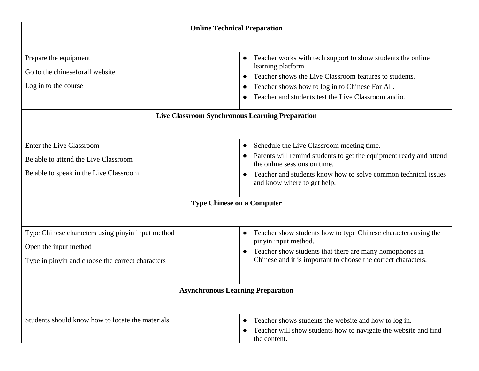| <b>Online Technical Preparation</b>                                                                                            |                                                                                                                                                                                                                                                       |  |
|--------------------------------------------------------------------------------------------------------------------------------|-------------------------------------------------------------------------------------------------------------------------------------------------------------------------------------------------------------------------------------------------------|--|
|                                                                                                                                |                                                                                                                                                                                                                                                       |  |
| Prepare the equipment<br>Go to the chineseforall website<br>Log in to the course                                               | Teacher works with tech support to show students the online<br>learning platform.<br>Teacher shows the Live Classroom features to students.<br>Teacher shows how to log in to Chinese For All.<br>Teacher and students test the Live Classroom audio. |  |
| Live Classroom Synchronous Learning Preparation                                                                                |                                                                                                                                                                                                                                                       |  |
|                                                                                                                                |                                                                                                                                                                                                                                                       |  |
| Enter the Live Classroom<br>Be able to attend the Live Classroom<br>Be able to speak in the Live Classroom                     | Schedule the Live Classroom meeting time.<br>Parents will remind students to get the equipment ready and attend<br>the online sessions on time.<br>Teacher and students know how to solve common technical issues<br>and know where to get help.      |  |
| <b>Type Chinese on a Computer</b>                                                                                              |                                                                                                                                                                                                                                                       |  |
| Type Chinese characters using pinyin input method<br>Open the input method<br>Type in pinyin and choose the correct characters | Teacher show students how to type Chinese characters using the<br>$\bullet$<br>pinyin input method.<br>Teacher show students that there are many homophones in<br>Chinese and it is important to choose the correct characters.                       |  |
| <b>Asynchronous Learning Preparation</b>                                                                                       |                                                                                                                                                                                                                                                       |  |
|                                                                                                                                |                                                                                                                                                                                                                                                       |  |
| Students should know how to locate the materials                                                                               | Teacher shows students the website and how to log in.<br>$\bullet$<br>Teacher will show students how to navigate the website and find<br>the content.                                                                                                 |  |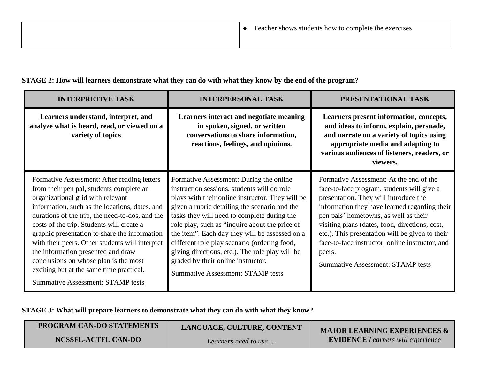| <b>INTERPRETIVE TASK</b>                                                                                                                                                                                                                                                                                                                                                                                                                                                                                                                                  | <b>INTERPERSONAL TASK</b>                                                                                                                                                                                                                                                                                                                                                                                                                                                                                                           | PRESENTATIONAL TASK                                                                                                                                                                                                                                                                                                                                                                                                                    |
|-----------------------------------------------------------------------------------------------------------------------------------------------------------------------------------------------------------------------------------------------------------------------------------------------------------------------------------------------------------------------------------------------------------------------------------------------------------------------------------------------------------------------------------------------------------|-------------------------------------------------------------------------------------------------------------------------------------------------------------------------------------------------------------------------------------------------------------------------------------------------------------------------------------------------------------------------------------------------------------------------------------------------------------------------------------------------------------------------------------|----------------------------------------------------------------------------------------------------------------------------------------------------------------------------------------------------------------------------------------------------------------------------------------------------------------------------------------------------------------------------------------------------------------------------------------|
| Learners understand, interpret, and<br>analyze what is heard, read, or viewed on a<br>variety of topics                                                                                                                                                                                                                                                                                                                                                                                                                                                   | Learners interact and negotiate meaning<br>in spoken, signed, or written<br>conversations to share information,<br>reactions, feelings, and opinions.                                                                                                                                                                                                                                                                                                                                                                               | Learners present information, concepts,<br>and ideas to inform, explain, persuade,<br>and narrate on a variety of topics using<br>appropriate media and adapting to<br>various audiences of listeners, readers, or<br>viewers.                                                                                                                                                                                                         |
| Formative Assessment: After reading letters<br>from their pen pal, students complete an<br>organizational grid with relevant<br>information, such as the locations, dates, and<br>durations of the trip, the need-to-dos, and the<br>costs of the trip. Students will create a<br>graphic presentation to share the information<br>with their peers. Other students will interpret<br>the information presented and draw<br>conclusions on whose plan is the most<br>exciting but at the same time practical.<br><b>Summative Assessment: STAMP tests</b> | Formative Assessment: During the online<br>instruction sessions, students will do role<br>plays with their online instructor. They will be<br>given a rubric detailing the scenario and the<br>tasks they will need to complete during the<br>role play, such as "inquire about the price of<br>the item". Each day they will be assessed on a<br>different role play scenario (ordering food,<br>giving directions, etc.). The role play will be<br>graded by their online instructor.<br><b>Summative Assessment: STAMP tests</b> | Formative Assessment: At the end of the<br>face-to-face program, students will give a<br>presentation. They will introduce the<br>information they have learned regarding their<br>pen pals' hometowns, as well as their<br>visiting plans (dates, food, directions, cost,<br>etc.). This presentation will be given to their<br>face-to-face instructor, online instructor, and<br>peers.<br><b>Summative Assessment: STAMP tests</b> |

**STAGE 2: How will learners demonstrate what they can do with what they know by the end of the program?**

**STAGE 3: What will prepare learners to demonstrate what they can do with what they know?**

| <b>PROGRAM CAN-DO STATEMENTS</b> | LANGUAGE, CULTURE, CONTENT | <b>MAJOR LEARNING EXPERIENCES &amp;</b>  |
|----------------------------------|----------------------------|------------------------------------------|
| NCSSFL-ACTFL CAN-DO              | Learners need to use       | <b>EVIDENCE</b> Learners will experience |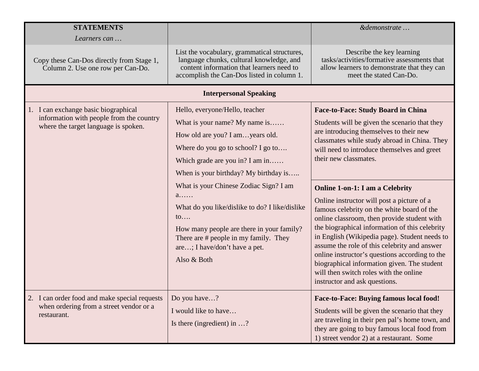| <b>STATEMENTS</b>                                                                                                        |                                                                                                                                                                                                                                                          | &demonstrate                                                                                                                                                                                                                                                                                                                                                                                                                                                                                                     |
|--------------------------------------------------------------------------------------------------------------------------|----------------------------------------------------------------------------------------------------------------------------------------------------------------------------------------------------------------------------------------------------------|------------------------------------------------------------------------------------------------------------------------------------------------------------------------------------------------------------------------------------------------------------------------------------------------------------------------------------------------------------------------------------------------------------------------------------------------------------------------------------------------------------------|
| Learners can                                                                                                             |                                                                                                                                                                                                                                                          |                                                                                                                                                                                                                                                                                                                                                                                                                                                                                                                  |
| Copy these Can-Dos directly from Stage 1,<br>Column 2. Use one row per Can-Do.                                           | List the vocabulary, grammatical structures,<br>language chunks, cultural knowledge, and<br>content information that learners need to<br>accomplish the Can-Dos listed in column 1.                                                                      | Describe the key learning<br>tasks/activities/formative assessments that<br>allow learners to demonstrate that they can<br>meet the stated Can-Do.                                                                                                                                                                                                                                                                                                                                                               |
|                                                                                                                          | <b>Interpersonal Speaking</b>                                                                                                                                                                                                                            |                                                                                                                                                                                                                                                                                                                                                                                                                                                                                                                  |
| 1. I can exchange basic biographical<br>information with people from the country<br>where the target language is spoken. | Hello, everyone/Hello, teacher<br>What is your name? My name is<br>How old are you? I amyears old.<br>Where do you go to school? I go to<br>Which grade are you in? I am in<br>When is your birthday? My birthday is                                     | <b>Face-to-Face: Study Board in China</b><br>Students will be given the scenario that they<br>are introducing themselves to their new<br>classmates while study abroad in China. They<br>will need to introduce themselves and greet<br>their new classmates.                                                                                                                                                                                                                                                    |
|                                                                                                                          | What is your Chinese Zodiac Sign? I am<br>$a$<br>What do you like/dislike to do? I like/dislike<br>$\mathfrak{to}$<br>How many people are there in your family?<br>There are # people in my family. They<br>are; I have/don't have a pet.<br>Also & Both | <b>Online 1-on-1: I am a Celebrity</b><br>Online instructor will post a picture of a<br>famous celebrity on the white board of the<br>online classroom, then provide student with<br>the biographical information of this celebrity<br>in English (Wikipedia page). Student needs to<br>assume the role of this celebrity and answer<br>online instructor's questions according to the<br>biographical information given. The student<br>will then switch roles with the online<br>instructor and ask questions. |
| 2. I can order food and make special requests<br>when ordering from a street vendor or a<br>restaurant.                  | Do you have?<br>I would like to have<br>Is there (ingredient) in $\dots$ ?                                                                                                                                                                               | Face-to-Face: Buying famous local food!<br>Students will be given the scenario that they<br>are traveling in their pen pal's home town, and<br>they are going to buy famous local food from<br>1) street vendor 2) at a restaurant. Some                                                                                                                                                                                                                                                                         |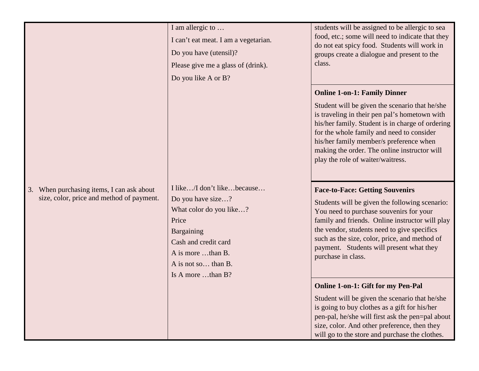|                                                                                           | I am allergic to<br>I can't eat meat. I am a vegetarian.<br>Do you have (utensil)?<br>Please give me a glass of (drink).<br>Do you like A or B?                                            | students will be assigned to be allergic to sea<br>food, etc.; some will need to indicate that they<br>do not eat spicy food. Students will work in<br>groups create a dialogue and present to the<br>class.                                                                                                                                                            |
|-------------------------------------------------------------------------------------------|--------------------------------------------------------------------------------------------------------------------------------------------------------------------------------------------|-------------------------------------------------------------------------------------------------------------------------------------------------------------------------------------------------------------------------------------------------------------------------------------------------------------------------------------------------------------------------|
|                                                                                           |                                                                                                                                                                                            | <b>Online 1-on-1: Family Dinner</b><br>Student will be given the scenario that he/she<br>is traveling in their pen pal's hometown with<br>his/her family. Student is in charge of ordering<br>for the whole family and need to consider<br>his/her family member/s preference when<br>making the order. The online instructor will<br>play the role of waiter/waitress. |
| When purchasing items, I can ask about<br>3.<br>size, color, price and method of payment. | I like/I don't likebecause<br>Do you have size?<br>What color do you like?<br>Price<br>Bargaining<br>Cash and credit card<br>A is more than B.<br>A is not so than B.<br>Is A more than B? | <b>Face-to-Face: Getting Souvenirs</b><br>Students will be given the following scenario:<br>You need to purchase souvenirs for your<br>family and friends. Online instructor will play<br>the vendor, students need to give specifics<br>such as the size, color, price, and method of<br>payment. Students will present what they<br>purchase in class.                |
|                                                                                           |                                                                                                                                                                                            | <b>Online 1-on-1: Gift for my Pen-Pal</b><br>Student will be given the scenario that he/she<br>is going to buy clothes as a gift for his/her<br>pen-pal, he/she will first ask the pen=pal about<br>size, color. And other preference, then they<br>will go to the store and purchase the clothes.                                                                      |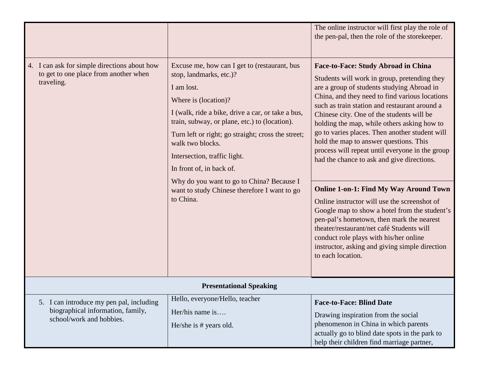|                                                                                                           |                                                                                                                                                                                                                                                                                                                                                                                                                                                                     | The online instructor will first play the role of<br>the pen-pal, then the role of the storekeeper.                                                                                                                                                                                                                                                                                                                                                                                                                                                                                                                                                                                                                                                                                                                                                                                               |
|-----------------------------------------------------------------------------------------------------------|---------------------------------------------------------------------------------------------------------------------------------------------------------------------------------------------------------------------------------------------------------------------------------------------------------------------------------------------------------------------------------------------------------------------------------------------------------------------|---------------------------------------------------------------------------------------------------------------------------------------------------------------------------------------------------------------------------------------------------------------------------------------------------------------------------------------------------------------------------------------------------------------------------------------------------------------------------------------------------------------------------------------------------------------------------------------------------------------------------------------------------------------------------------------------------------------------------------------------------------------------------------------------------------------------------------------------------------------------------------------------------|
| 4. I can ask for simple directions about how<br>to get to one place from another when<br>traveling.       | Excuse me, how can I get to (restaurant, bus<br>stop, landmarks, etc.)?<br>I am lost.<br>Where is (location)?<br>I (walk, ride a bike, drive a car, or take a bus,<br>train, subway, or plane, etc.) to (location).<br>Turn left or right; go straight; cross the street;<br>walk two blocks.<br>Intersection, traffic light.<br>In front of, in back of.<br>Why do you want to go to China? Because I<br>want to study Chinese therefore I want to go<br>to China. | <b>Face-to-Face: Study Abroad in China</b><br>Students will work in group, pretending they<br>are a group of students studying Abroad in<br>China, and they need to find various locations<br>such as train station and restaurant around a<br>Chinese city. One of the students will be<br>holding the map, while others asking how to<br>go to varies places. Then another student will<br>hold the map to answer questions. This<br>process will repeat until everyone in the group<br>had the chance to ask and give directions.<br><b>Online 1-on-1: Find My Way Around Town</b><br>Online instructor will use the screenshot of<br>Google map to show a hotel from the student's<br>pen-pal's hometown, then mark the nearest<br>theater/restaurant/net café Students will<br>conduct role plays with his/her online<br>instructor, asking and giving simple direction<br>to each location. |
| <b>Presentational Speaking</b>                                                                            |                                                                                                                                                                                                                                                                                                                                                                                                                                                                     |                                                                                                                                                                                                                                                                                                                                                                                                                                                                                                                                                                                                                                                                                                                                                                                                                                                                                                   |
| 5. I can introduce my pen pal, including<br>biographical information, family,<br>school/work and hobbies. | Hello, everyone/Hello, teacher<br>$Her/his$ name is<br>He/she is # years old.                                                                                                                                                                                                                                                                                                                                                                                       | <b>Face-to-Face: Blind Date</b><br>Drawing inspiration from the social<br>phenomenon in China in which parents<br>actually go to blind date spots in the park to<br>help their children find marriage partner,                                                                                                                                                                                                                                                                                                                                                                                                                                                                                                                                                                                                                                                                                    |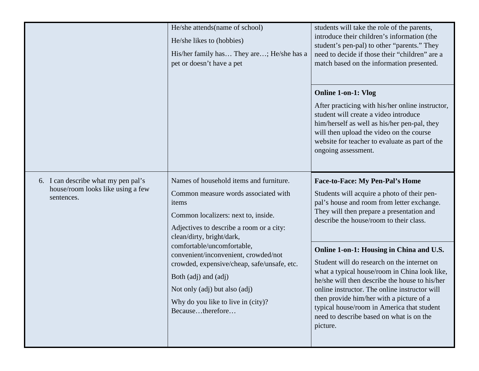|                                                                                        | He/she attends(name of school)<br>He/she likes to (hobbies)<br>His/her family has They are; He/she has a<br>pet or doesn't have a pet                                                                                                  | students will take the role of the parents,<br>introduce their children's information (the<br>student's pen-pal) to other "parents." They<br>need to decide if those their "children" are a<br>match based on the information presented.                                                                                                                                                      |
|----------------------------------------------------------------------------------------|----------------------------------------------------------------------------------------------------------------------------------------------------------------------------------------------------------------------------------------|-----------------------------------------------------------------------------------------------------------------------------------------------------------------------------------------------------------------------------------------------------------------------------------------------------------------------------------------------------------------------------------------------|
|                                                                                        |                                                                                                                                                                                                                                        | <b>Online 1-on-1: Vlog</b><br>After practicing with his/her online instructor,<br>student will create a video introduce<br>him/herself as well as his/her pen-pal, they<br>will then upload the video on the course<br>website for teacher to evaluate as part of the<br>ongoing assessment.                                                                                                  |
| 6. I can describe what my pen pal's<br>house/room looks like using a few<br>sentences. | Names of household items and furniture.<br>Common measure words associated with<br>items<br>Common localizers: next to, inside.<br>Adjectives to describe a room or a city:<br>clean/dirty, bright/dark,<br>comfortable/uncomfortable, | <b>Face-to-Face: My Pen-Pal's Home</b><br>Students will acquire a photo of their pen-<br>pal's house and room from letter exchange.<br>They will then prepare a presentation and<br>describe the house/room to their class.                                                                                                                                                                   |
|                                                                                        | convenient/inconvenient, crowded/not<br>crowded, expensive/cheap, safe/unsafe, etc.<br>Both (adj) and (adj)<br>Not only (adj) but also (adj)<br>Why do you like to live in (city)?<br>Becausetherefore                                 | Online 1-on-1: Housing in China and U.S.<br>Student will do research on the internet on<br>what a typical house/room in China look like,<br>he/she will then describe the house to his/her<br>online instructor. The online instructor will<br>then provide him/her with a picture of a<br>typical house/room in America that student<br>need to describe based on what is on the<br>picture. |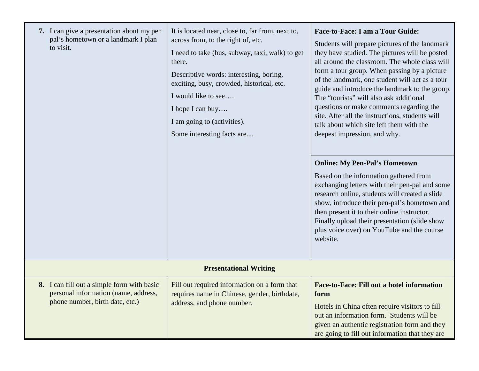| 7. I can give a presentation about my pen<br>pal's hometown or a landmark I plan<br>to visit.                         | It is located near, close to, far from, next to,<br>across from, to the right of, etc.<br>I need to take (bus, subway, taxi, walk) to get<br>there.<br>Descriptive words: interesting, boring,<br>exciting, busy, crowded, historical, etc.<br>I would like to see<br>I hope I can buy<br>I am going to (activities).<br>Some interesting facts are | <b>Face-to-Face: I am a Tour Guide:</b><br>Students will prepare pictures of the landmark<br>they have studied. The pictures will be posted<br>all around the classroom. The whole class will<br>form a tour group. When passing by a picture<br>of the landmark, one student will act as a tour<br>guide and introduce the landmark to the group.<br>The "tourists" will also ask additional<br>questions or make comments regarding the<br>site. After all the instructions, students will<br>talk about which site left them with the<br>deepest impression, and why. |
|-----------------------------------------------------------------------------------------------------------------------|-----------------------------------------------------------------------------------------------------------------------------------------------------------------------------------------------------------------------------------------------------------------------------------------------------------------------------------------------------|--------------------------------------------------------------------------------------------------------------------------------------------------------------------------------------------------------------------------------------------------------------------------------------------------------------------------------------------------------------------------------------------------------------------------------------------------------------------------------------------------------------------------------------------------------------------------|
|                                                                                                                       |                                                                                                                                                                                                                                                                                                                                                     | <b>Online: My Pen-Pal's Hometown</b><br>Based on the information gathered from<br>exchanging letters with their pen-pal and some<br>research online, students will created a slide<br>show, introduce their pen-pal's hometown and<br>then present it to their online instructor.<br>Finally upload their presentation (slide show<br>plus voice over) on YouTube and the course<br>website.                                                                                                                                                                             |
| <b>Presentational Writing</b>                                                                                         |                                                                                                                                                                                                                                                                                                                                                     |                                                                                                                                                                                                                                                                                                                                                                                                                                                                                                                                                                          |
| 8. I can fill out a simple form with basic<br>personal information (name, address,<br>phone number, birth date, etc.) | Fill out required information on a form that<br>requires name in Chinese, gender, birthdate,<br>address, and phone number.                                                                                                                                                                                                                          | Face-to-Face: Fill out a hotel information<br>form<br>Hotels in China often require visitors to fill<br>out an information form. Students will be<br>given an authentic registration form and they<br>are going to fill out information that they are                                                                                                                                                                                                                                                                                                                    |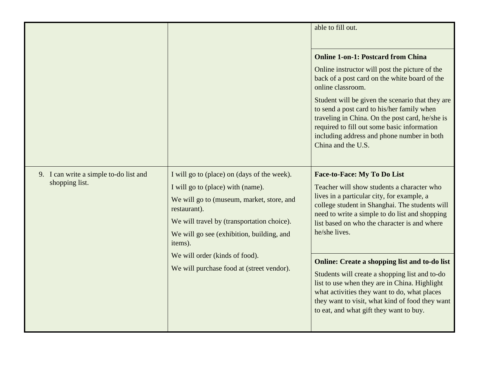|                                                          |                                                                                                                                                                                                                                                                                       | able to fill out.                                                                                                                                                                                                                                                                                     |
|----------------------------------------------------------|---------------------------------------------------------------------------------------------------------------------------------------------------------------------------------------------------------------------------------------------------------------------------------------|-------------------------------------------------------------------------------------------------------------------------------------------------------------------------------------------------------------------------------------------------------------------------------------------------------|
|                                                          |                                                                                                                                                                                                                                                                                       | <b>Online 1-on-1: Postcard from China</b>                                                                                                                                                                                                                                                             |
|                                                          |                                                                                                                                                                                                                                                                                       | Online instructor will post the picture of the<br>back of a post card on the white board of the<br>online classroom.                                                                                                                                                                                  |
|                                                          |                                                                                                                                                                                                                                                                                       | Student will be given the scenario that they are<br>to send a post card to his/her family when<br>traveling in China. On the post card, he/she is<br>required to fill out some basic information<br>including address and phone number in both<br>China and the U.S.                                  |
| 9. I can write a simple to-do list and<br>shopping list. | I will go to (place) on (days of the week).<br>I will go to (place) with (name).<br>We will go to (museum, market, store, and<br>restaurant).<br>We will travel by (transportation choice).<br>We will go see (exhibition, building, and<br>items).<br>We will order (kinds of food). | <b>Face-to-Face: My To Do List</b><br>Teacher will show students a character who<br>lives in a particular city, for example, a<br>college student in Shanghai. The students will<br>need to write a simple to do list and shopping<br>list based on who the character is and where<br>he/she lives.   |
|                                                          | We will purchase food at (street vendor).                                                                                                                                                                                                                                             | <b>Online: Create a shopping list and to-do list</b><br>Students will create a shopping list and to-do<br>list to use when they are in China. Highlight<br>what activities they want to do, what places<br>they want to visit, what kind of food they want<br>to eat, and what gift they want to buy. |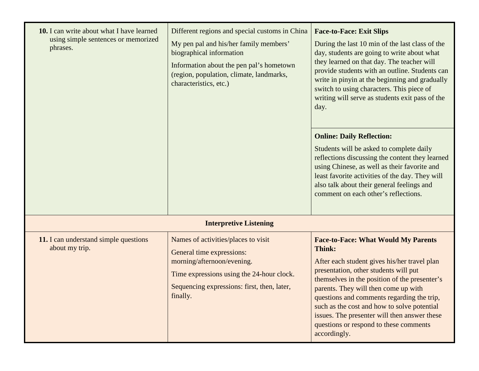| 10. I can write about what I have learned<br>using simple sentences or memorized<br>phrases. | Different regions and special customs in China<br>My pen pal and his/her family members'<br>biographical information<br>Information about the pen pal's hometown<br>(region, population, climate, landmarks,<br>characteristics, etc.) | <b>Face-to-Face: Exit Slips</b><br>During the last 10 min of the last class of the<br>day, students are going to write about what<br>they learned on that day. The teacher will<br>provide students with an outline. Students can<br>write in pinyin at the beginning and gradually<br>switch to using characters. This piece of<br>writing will serve as students exit pass of the<br>day.                                                   |
|----------------------------------------------------------------------------------------------|----------------------------------------------------------------------------------------------------------------------------------------------------------------------------------------------------------------------------------------|-----------------------------------------------------------------------------------------------------------------------------------------------------------------------------------------------------------------------------------------------------------------------------------------------------------------------------------------------------------------------------------------------------------------------------------------------|
|                                                                                              |                                                                                                                                                                                                                                        | <b>Online: Daily Reflection:</b><br>Students will be asked to complete daily<br>reflections discussing the content they learned<br>using Chinese, as well as their favorite and<br>least favorite activities of the day. They will<br>also talk about their general feelings and<br>comment on each other's reflections.                                                                                                                      |
|                                                                                              | <b>Interpretive Listening</b>                                                                                                                                                                                                          |                                                                                                                                                                                                                                                                                                                                                                                                                                               |
| 11. I can understand simple questions<br>about my trip.                                      | Names of activities/places to visit<br>General time expressions:<br>morning/afternoon/evening.<br>Time expressions using the 24-hour clock.<br>Sequencing expressions: first, then, later,<br>finally.                                 | <b>Face-to-Face: What Would My Parents</b><br>Think:<br>After each student gives his/her travel plan<br>presentation, other students will put<br>themselves in the position of the presenter's<br>parents. They will then come up with<br>questions and comments regarding the trip,<br>such as the cost and how to solve potential<br>issues. The presenter will then answer these<br>questions or respond to these comments<br>accordingly. |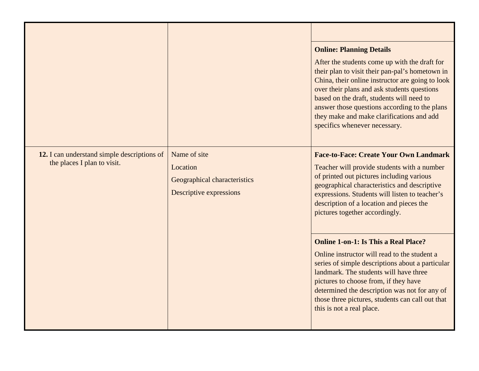|                                             |                                                                     | <b>Online: Planning Details</b>                                                                                                                                                                                                                                                                                                                                                 |
|---------------------------------------------|---------------------------------------------------------------------|---------------------------------------------------------------------------------------------------------------------------------------------------------------------------------------------------------------------------------------------------------------------------------------------------------------------------------------------------------------------------------|
|                                             |                                                                     | After the students come up with the draft for<br>their plan to visit their pan-pal's hometown in<br>China, their online instructor are going to look<br>over their plans and ask students questions<br>based on the draft, students will need to<br>answer those questions according to the plans<br>they make and make clarifications and add<br>specifics whenever necessary. |
| 12. I can understand simple descriptions of | Name of site                                                        | <b>Face-to-Face: Create Your Own Landmark</b>                                                                                                                                                                                                                                                                                                                                   |
| the places I plan to visit.                 | Location<br>Geographical characteristics<br>Descriptive expressions | Teacher will provide students with a number<br>of printed out pictures including various<br>geographical characteristics and descriptive<br>expressions. Students will listen to teacher's<br>description of a location and pieces the<br>pictures together accordingly.                                                                                                        |
|                                             |                                                                     | <b>Online 1-on-1: Is This a Real Place?</b><br>Online instructor will read to the student a<br>series of simple descriptions about a particular<br>landmark. The students will have three<br>pictures to choose from, if they have<br>determined the description was not for any of<br>those three pictures, students can call out that<br>this is not a real place.            |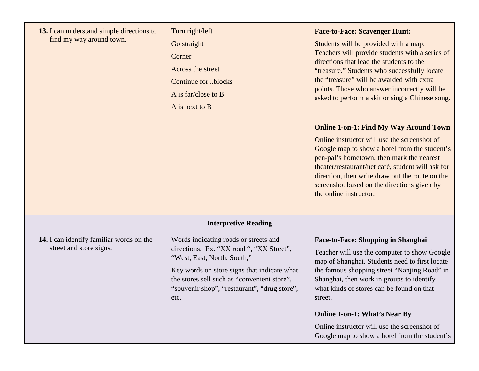| 13. I can understand simple directions to<br>find my way around town. | Turn right/left<br>Go straight<br>Corner<br>Across the street<br><b>Continue forblocks</b><br>A is far/close to B<br>A is next to B                                                                                                                                    | <b>Face-to-Face: Scavenger Hunt:</b><br>Students will be provided with a map.<br>Teachers will provide students with a series of<br>directions that lead the students to the<br>"treasure." Students who successfully locate<br>the "treasure" will be awarded with extra<br>points. Those who answer incorrectly will be<br>asked to perform a skit or sing a Chinese song.<br><b>Online 1-on-1: Find My Way Around Town</b><br>Online instructor will use the screenshot of<br>Google map to show a hotel from the student's<br>pen-pal's hometown, then mark the nearest<br>theater/restaurant/net café, student will ask for<br>direction, then write draw out the route on the<br>screenshot based on the directions given by<br>the online instructor. |
|-----------------------------------------------------------------------|------------------------------------------------------------------------------------------------------------------------------------------------------------------------------------------------------------------------------------------------------------------------|--------------------------------------------------------------------------------------------------------------------------------------------------------------------------------------------------------------------------------------------------------------------------------------------------------------------------------------------------------------------------------------------------------------------------------------------------------------------------------------------------------------------------------------------------------------------------------------------------------------------------------------------------------------------------------------------------------------------------------------------------------------|
|                                                                       | <b>Interpretive Reading</b>                                                                                                                                                                                                                                            |                                                                                                                                                                                                                                                                                                                                                                                                                                                                                                                                                                                                                                                                                                                                                              |
| 14. I can identify familiar words on the<br>street and store signs.   | Words indicating roads or streets and<br>directions. Ex. "XX road ", "XX Street",<br>"West, East, North, South,"<br>Key words on store signs that indicate what<br>the stores sell such as "convenient store",<br>"souvenir shop", "restaurant", "drug store",<br>etc. | <b>Face-to-Face: Shopping in Shanghai</b><br>Teacher will use the computer to show Google<br>map of Shanghai. Students need to first locate<br>the famous shopping street "Nanjing Road" in<br>Shanghai, then work in groups to identify<br>what kinds of stores can be found on that<br>street.                                                                                                                                                                                                                                                                                                                                                                                                                                                             |
|                                                                       |                                                                                                                                                                                                                                                                        | <b>Online 1-on-1: What's Near By</b><br>Online instructor will use the screenshot of<br>Google map to show a hotel from the student's                                                                                                                                                                                                                                                                                                                                                                                                                                                                                                                                                                                                                        |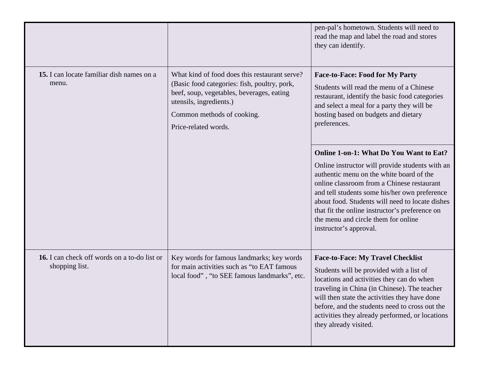|                                                                |                                                                                                                                                                                                                             | pen-pal's hometown. Students will need to<br>read the map and label the road and stores<br>they can identify.                                                                                                                                                                                                                                                                                                      |
|----------------------------------------------------------------|-----------------------------------------------------------------------------------------------------------------------------------------------------------------------------------------------------------------------------|--------------------------------------------------------------------------------------------------------------------------------------------------------------------------------------------------------------------------------------------------------------------------------------------------------------------------------------------------------------------------------------------------------------------|
| 15. I can locate familiar dish names on a<br>menu.             | What kind of food does this restaurant serve?<br>(Basic food categories: fish, poultry, pork,<br>beef, soup, vegetables, beverages, eating<br>utensils, ingredients.)<br>Common methods of cooking.<br>Price-related words. | <b>Face-to-Face: Food for My Party</b><br>Students will read the menu of a Chinese<br>restaurant, identify the basic food categories<br>and select a meal for a party they will be<br>hosting based on budgets and dietary<br>preferences.                                                                                                                                                                         |
|                                                                |                                                                                                                                                                                                                             | <b>Online 1-on-1: What Do You Want to Eat?</b><br>Online instructor will provide students with an<br>authentic menu on the white board of the<br>online classroom from a Chinese restaurant<br>and tell students some his/her own preference<br>about food. Students will need to locate dishes<br>that fit the online instructor's preference on<br>the menu and circle them for online<br>instructor's approval. |
| 16. I can check off words on a to-do list or<br>shopping list. | Key words for famous landmarks; key words<br>for main activities such as "to EAT famous<br>local food", "to SEE famous landmarks", etc.                                                                                     | <b>Face-to-Face: My Travel Checklist</b><br>Students will be provided with a list of<br>locations and activities they can do when<br>traveling in China (in Chinese). The teacher<br>will then state the activities they have done<br>before, and the students need to cross out the<br>activities they already performed, or locations<br>they already visited.                                                   |